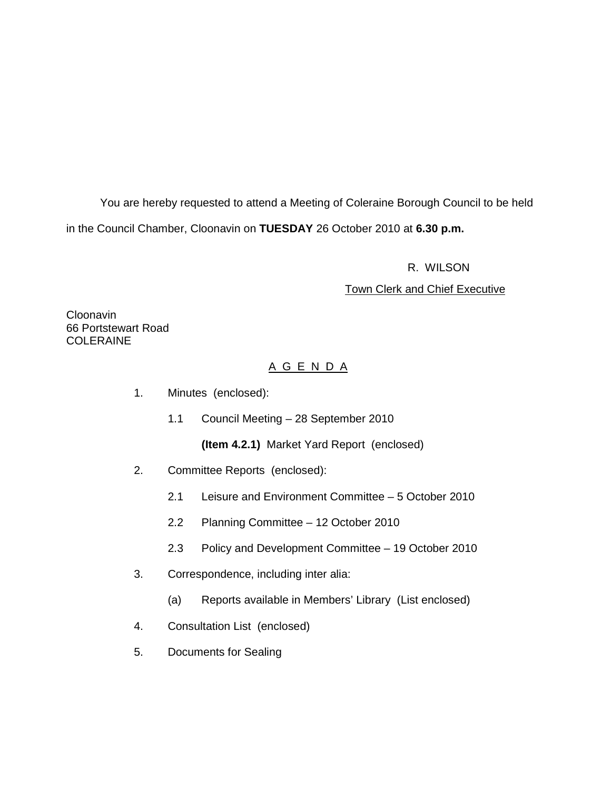You are hereby requested to attend a Meeting of Coleraine Borough Council to be held in the Council Chamber, Cloonavin on **TUESDAY** 26 October 2010 at **6.30 p.m.** 

R. WILSON

#### Town Clerk and Chief Executive

**Cloonavin** 66 Portstewart Road COLERAINE

# A G E N D A

- 1. Minutes (enclosed):
	- 1.1 Council Meeting 28 September 2010

**(Item 4.2.1)** Market Yard Report (enclosed)

- 2. Committee Reports (enclosed):
	- 2.1 Leisure and Environment Committee 5 October 2010
	- 2.2 Planning Committee 12 October 2010
	- 2.3 Policy and Development Committee 19 October 2010
- 3. Correspondence, including inter alia:
	- (a) Reports available in Members' Library (List enclosed)
- 4. Consultation List (enclosed)
- 5. Documents for Sealing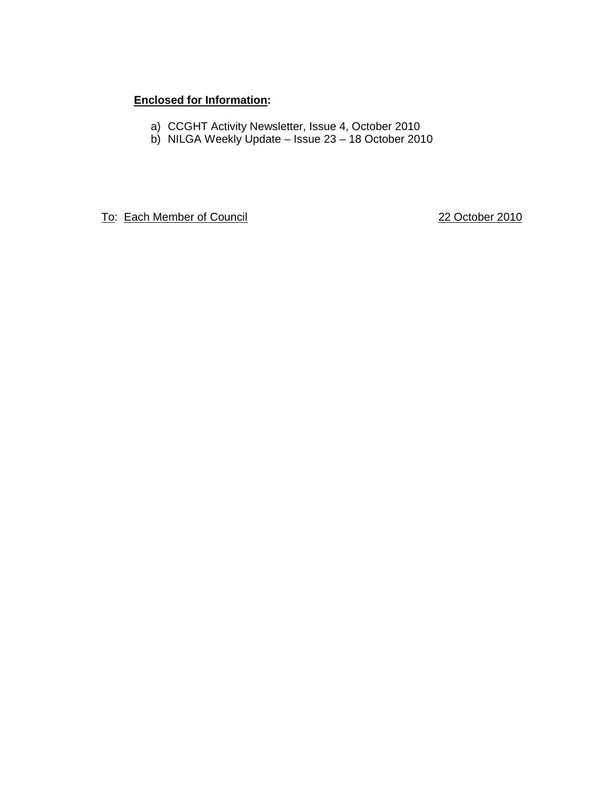# **Enclosed for Information:**

- a) CCGHT Activity Newsletter, Issue 4, October 2010
- b) NILGA Weekly Update Issue 23 18 October 2010

To: Each Member of Council 22 October 2010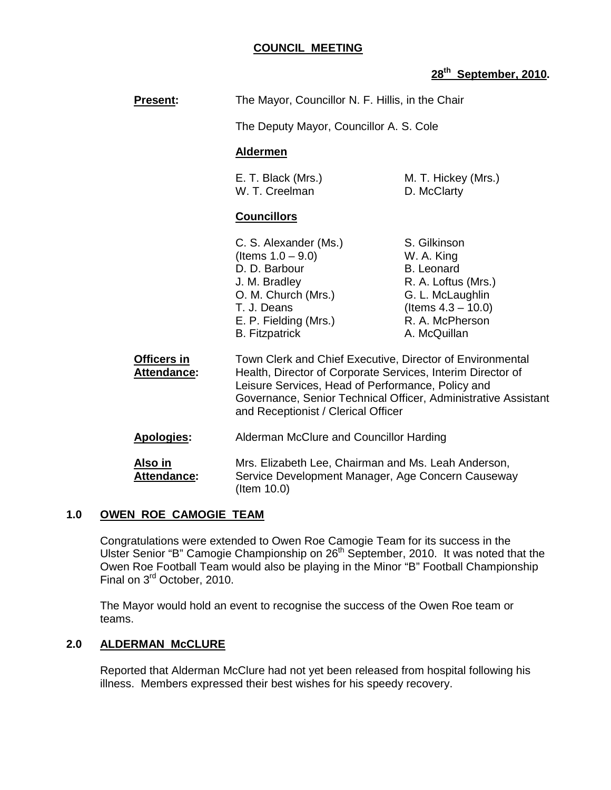#### **COUNCIL MEETING**

# **28th September, 2010.**

| <b>Present:</b>               | The Mayor, Councillor N. F. Hillis, in the Chair<br>The Deputy Mayor, Councillor A. S. Cole<br><b>Aldermen</b>                                                                                                                                                                         |                                                                                                                                                        |
|-------------------------------|----------------------------------------------------------------------------------------------------------------------------------------------------------------------------------------------------------------------------------------------------------------------------------------|--------------------------------------------------------------------------------------------------------------------------------------------------------|
|                               |                                                                                                                                                                                                                                                                                        |                                                                                                                                                        |
|                               |                                                                                                                                                                                                                                                                                        |                                                                                                                                                        |
|                               | E. T. Black (Mrs.)<br>W. T. Creelman                                                                                                                                                                                                                                                   | M. T. Hickey (Mrs.)<br>D. McClarty                                                                                                                     |
|                               | <b>Councillors</b>                                                                                                                                                                                                                                                                     |                                                                                                                                                        |
|                               | C. S. Alexander (Ms.)<br>(Items $1.0 - 9.0$ )<br>D. D. Barbour<br>J. M. Bradley<br>O. M. Church (Mrs.)<br>T. J. Deans<br>E. P. Fielding (Mrs.)<br><b>B.</b> Fitzpatrick                                                                                                                | S. Gilkinson<br>W. A. King<br><b>B.</b> Leonard<br>R. A. Loftus (Mrs.)<br>G. L. McLaughlin<br>(Items $4.3 - 10.0$ )<br>R. A. McPherson<br>A. McQuillan |
| Officers in<br>Attendance:    | Town Clerk and Chief Executive, Director of Environmental<br>Health, Director of Corporate Services, Interim Director of<br>Leisure Services, Head of Performance, Policy and<br>Governance, Senior Technical Officer, Administrative Assistant<br>and Receptionist / Clerical Officer |                                                                                                                                                        |
| <b>Apologies:</b>             | Alderman McClure and Councillor Harding<br>Mrs. Elizabeth Lee, Chairman and Ms. Leah Anderson,<br>Service Development Manager, Age Concern Causeway<br>(Item 10.0)                                                                                                                     |                                                                                                                                                        |
| Also in<br><b>Attendance:</b> |                                                                                                                                                                                                                                                                                        |                                                                                                                                                        |

#### **1.0 OWEN ROE CAMOGIE TEAM**

 Congratulations were extended to Owen Roe Camogie Team for its success in the Ulster Senior "B" Camogie Championship on 26<sup>th</sup> September, 2010. It was noted that the Owen Roe Football Team would also be playing in the Minor "B" Football Championship Final on 3rd October, 2010.

The Mayor would hold an event to recognise the success of the Owen Roe team or teams.

#### **2.0 ALDERMAN McCLURE**

Reported that Alderman McClure had not yet been released from hospital following his illness. Members expressed their best wishes for his speedy recovery.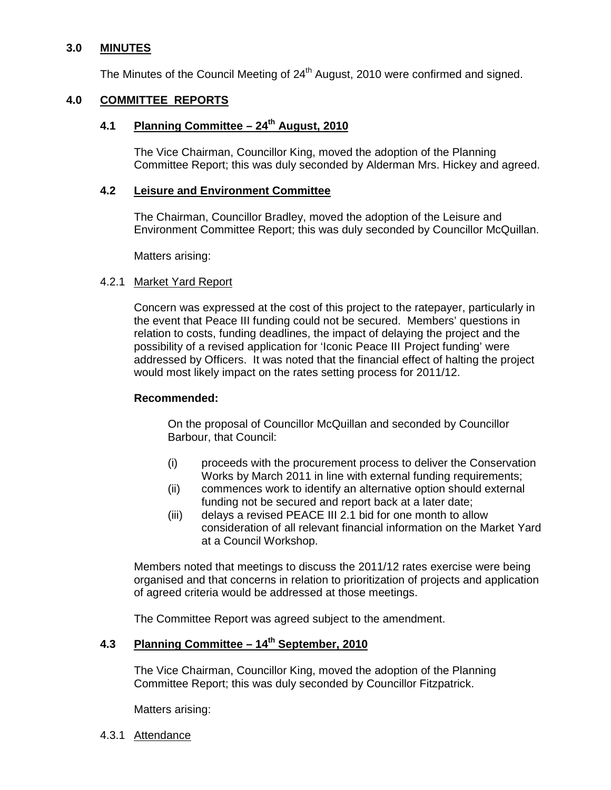## **3.0 MINUTES**

The Minutes of the Council Meeting of 24<sup>th</sup> August, 2010 were confirmed and signed.

#### **4.0 COMMITTEE REPORTS**

## **4.1 Planning Committee – 24th August, 2010**

The Vice Chairman, Councillor King, moved the adoption of the Planning Committee Report; this was duly seconded by Alderman Mrs. Hickey and agreed.

#### **4.2 Leisure and Environment Committee**

The Chairman, Councillor Bradley, moved the adoption of the Leisure and Environment Committee Report; this was duly seconded by Councillor McQuillan.

Matters arising:

#### 4.2.1 Market Yard Report

 Concern was expressed at the cost of this project to the ratepayer, particularly in the event that Peace III funding could not be secured. Members' questions in relation to costs, funding deadlines, the impact of delaying the project and the possibility of a revised application for 'Iconic Peace III Project funding' were addressed by Officers. It was noted that the financial effect of halting the project would most likely impact on the rates setting process for 2011/12.

#### **Recommended:**

 On the proposal of Councillor McQuillan and seconded by Councillor Barbour, that Council:

- (i) proceeds with the procurement process to deliver the Conservation Works by March 2011 in line with external funding requirements;
- (ii) commences work to identify an alternative option should external funding not be secured and report back at a later date;
- (iii) delays a revised PEACE III 2.1 bid for one month to allow consideration of all relevant financial information on the Market Yard at a Council Workshop.

 Members noted that meetings to discuss the 2011/12 rates exercise were being organised and that concerns in relation to prioritization of projects and application of agreed criteria would be addressed at those meetings.

The Committee Report was agreed subject to the amendment.

# **4.3 Planning Committee – 14th September, 2010**

The Vice Chairman, Councillor King, moved the adoption of the Planning Committee Report; this was duly seconded by Councillor Fitzpatrick.

Matters arising:

4.3.1 Attendance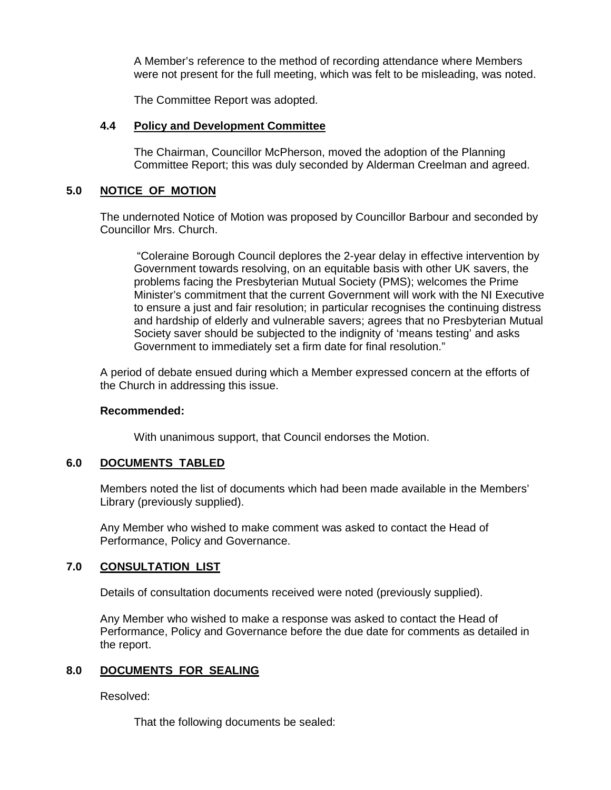A Member's reference to the method of recording attendance where Members were not present for the full meeting, which was felt to be misleading, was noted.

The Committee Report was adopted.

#### **4.4 Policy and Development Committee**

 The Chairman, Councillor McPherson, moved the adoption of the Planning Committee Report; this was duly seconded by Alderman Creelman and agreed.

## **5.0 NOTICE OF MOTION**

The undernoted Notice of Motion was proposed by Councillor Barbour and seconded by Councillor Mrs. Church.

 "Coleraine Borough Council deplores the 2-year delay in effective intervention by Government towards resolving, on an equitable basis with other UK savers, the problems facing the Presbyterian Mutual Society (PMS); welcomes the Prime Minister's commitment that the current Government will work with the NI Executive to ensure a just and fair resolution; in particular recognises the continuing distress and hardship of elderly and vulnerable savers; agrees that no Presbyterian Mutual Society saver should be subjected to the indignity of 'means testing' and asks Government to immediately set a firm date for final resolution."

 A period of debate ensued during which a Member expressed concern at the efforts of the Church in addressing this issue.

#### **Recommended:**

With unanimous support, that Council endorses the Motion.

#### **6.0 DOCUMENTS TABLED**

 Members noted the list of documents which had been made available in the Members' Library (previously supplied).

 Any Member who wished to make comment was asked to contact the Head of Performance, Policy and Governance.

#### **7.0 CONSULTATION LIST**

Details of consultation documents received were noted (previously supplied).

 Any Member who wished to make a response was asked to contact the Head of Performance, Policy and Governance before the due date for comments as detailed in the report.

# **8.0 DOCUMENTS FOR SEALING**

Resolved:

That the following documents be sealed: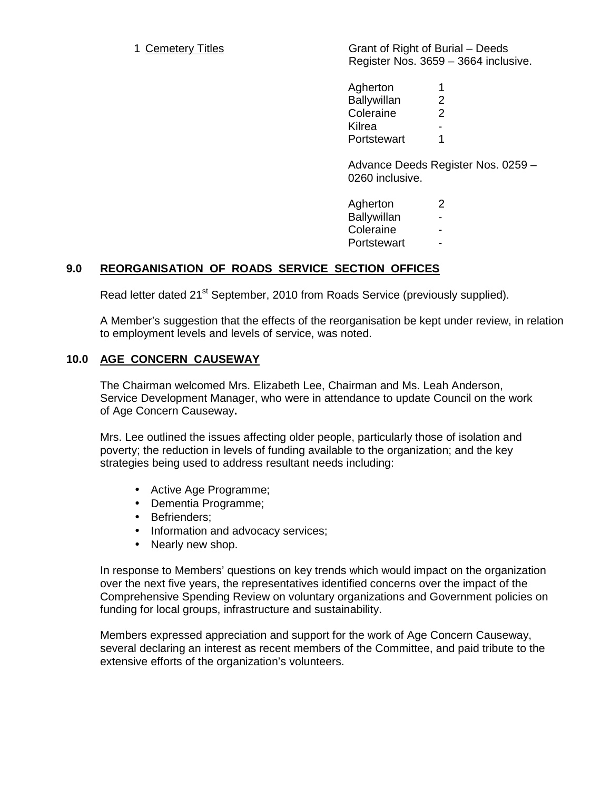1 Cemetery Titles **Grant of Right of Burial – Deeds** Register Nos. 3659 – 3664 inclusive.

> Agherton 1 Ballywillan 2 Coleraine 2 **Kilrea** Portstewart 1

 Advance Deeds Register Nos. 0259 – 0260 inclusive.

| Agherton    | 2 |
|-------------|---|
| Ballywillan |   |
| Coleraine   |   |
| Portstewart |   |

# **9.0 REORGANISATION OF ROADS SERVICE SECTION OFFICES**

Read letter dated 21<sup>st</sup> September, 2010 from Roads Service (previously supplied).

A Member's suggestion that the effects of the reorganisation be kept under review, in relation to employment levels and levels of service, was noted.

# **10.0 AGE CONCERN CAUSEWAY**

 The Chairman welcomed Mrs. Elizabeth Lee, Chairman and Ms. Leah Anderson, Service Development Manager, who were in attendance to update Council on the work of Age Concern Causeway**.** 

Mrs. Lee outlined the issues affecting older people, particularly those of isolation and poverty; the reduction in levels of funding available to the organization; and the key strategies being used to address resultant needs including:

- Active Age Programme;
- Dementia Programme;
- Befrienders;
- Information and advocacy services;
- Nearly new shop.

 In response to Members' questions on key trends which would impact on the organization over the next five years, the representatives identified concerns over the impact of the Comprehensive Spending Review on voluntary organizations and Government policies on funding for local groups, infrastructure and sustainability.

Members expressed appreciation and support for the work of Age Concern Causeway, several declaring an interest as recent members of the Committee, and paid tribute to the extensive efforts of the organization's volunteers.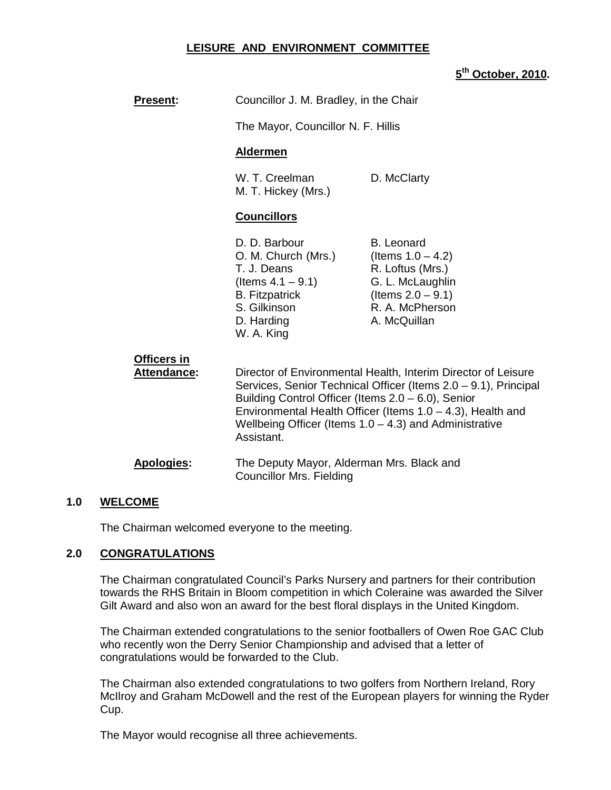#### **LEISURE AND ENVIRONMENT COMMITTEE**

# **5 th October, 2010.**

| <b>Present:</b>                   | Councillor J. M. Bradley, in the Chair                                                                                                                                                                                                                                                                                                |                                                                                                                                              |  |
|-----------------------------------|---------------------------------------------------------------------------------------------------------------------------------------------------------------------------------------------------------------------------------------------------------------------------------------------------------------------------------------|----------------------------------------------------------------------------------------------------------------------------------------------|--|
|                                   | The Mayor, Councillor N. F. Hillis                                                                                                                                                                                                                                                                                                    |                                                                                                                                              |  |
|                                   | <b>Aldermen</b>                                                                                                                                                                                                                                                                                                                       |                                                                                                                                              |  |
|                                   | W. T. Creelman<br>M. T. Hickey (Mrs.)                                                                                                                                                                                                                                                                                                 | D. McClarty                                                                                                                                  |  |
|                                   | <b>Councillors</b>                                                                                                                                                                                                                                                                                                                    |                                                                                                                                              |  |
|                                   | D. D. Barbour<br>O. M. Church (Mrs.)<br>T. J. Deans<br>(Items $4.1 - 9.1$ )<br><b>B.</b> Fitzpatrick<br>S. Gilkinson<br>D. Harding<br>W. A. King                                                                                                                                                                                      | <b>B.</b> Leonard<br>(Items $1.0 - 4.2$ )<br>R. Loftus (Mrs.)<br>G. L. McLaughlin<br>(Items $2.0 - 9.1$ )<br>R. A. McPherson<br>A. McQuillan |  |
| Officers in<br><b>Attendance:</b> | Director of Environmental Health, Interim Director of Leisure<br>Services, Senior Technical Officer (Items 2.0 - 9.1), Principal<br>Building Control Officer (Items $2.0 - 6.0$ ), Senior<br>Environmental Health Officer (Items $1.0 - 4.3$ ), Health and<br>Wellbeing Officer (Items $1.0 - 4.3$ ) and Administrative<br>Assistant. |                                                                                                                                              |  |
| <b>Apologies:</b>                 | The Deputy Mayor, Alderman Mrs. Black and<br><b>Councillor Mrs. Fielding</b>                                                                                                                                                                                                                                                          |                                                                                                                                              |  |

# **1.0 WELCOME**

The Chairman welcomed everyone to the meeting.

#### **2.0 CONGRATULATIONS**

The Chairman congratulated Council's Parks Nursery and partners for their contribution towards the RHS Britain in Bloom competition in which Coleraine was awarded the Silver Gilt Award and also won an award for the best floral displays in the United Kingdom.

The Chairman extended congratulations to the senior footballers of Owen Roe GAC Club who recently won the Derry Senior Championship and advised that a letter of congratulations would be forwarded to the Club.

The Chairman also extended congratulations to two golfers from Northern Ireland, Rory McIlroy and Graham McDowell and the rest of the European players for winning the Ryder Cup.

The Mayor would recognise all three achievements.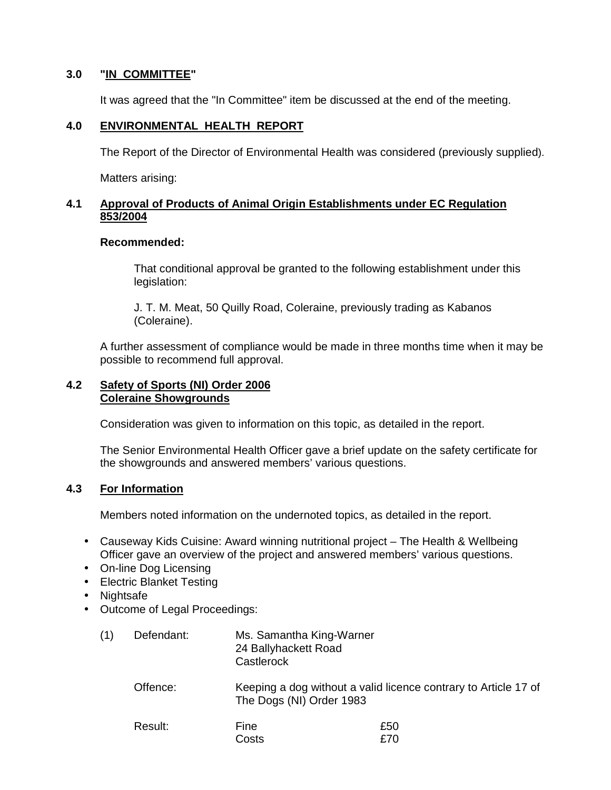# **3.0 "IN COMMITTEE"**

It was agreed that the "In Committee" item be discussed at the end of the meeting.

## **4.0 ENVIRONMENTAL HEALTH REPORT**

The Report of the Director of Environmental Health was considered (previously supplied).

Matters arising:

#### **4.1 Approval of Products of Animal Origin Establishments under EC Regulation 853/2004**

#### **Recommended:**

 That conditional approval be granted to the following establishment under this legislation:

 J. T. M. Meat, 50 Quilly Road, Coleraine, previously trading as Kabanos (Coleraine).

 A further assessment of compliance would be made in three months time when it may be possible to recommend full approval.

#### **4.2 Safety of Sports (NI) Order 2006 Coleraine Showgrounds**

Consideration was given to information on this topic, as detailed in the report.

The Senior Environmental Health Officer gave a brief update on the safety certificate for the showgrounds and answered members' various questions.

#### **4.3 For Information**

Members noted information on the undernoted topics, as detailed in the report.

- Causeway Kids Cuisine: Award winning nutritional project The Health & Wellbeing Officer gave an overview of the project and answered members' various questions.
- On-line Dog Licensing
- Electric Blanket Testing
- Nightsafe
- Outcome of Legal Proceedings:

| Defendant: | Ms. Samantha King-Warner |
|------------|--------------------------|
|            | 24 Ballyhackett Road     |
|            | Castlerock               |

 Offence: Keeping a dog without a valid licence contrary to Article 17 of The Dogs (NI) Order 1983

Result: Fine 250 costs and the costs of the costs of the costs of the costs of the costs of the costs of the costs of the costs of the costs of the costs of the costs of the costs of the costs of the costs of the costs of the costs of the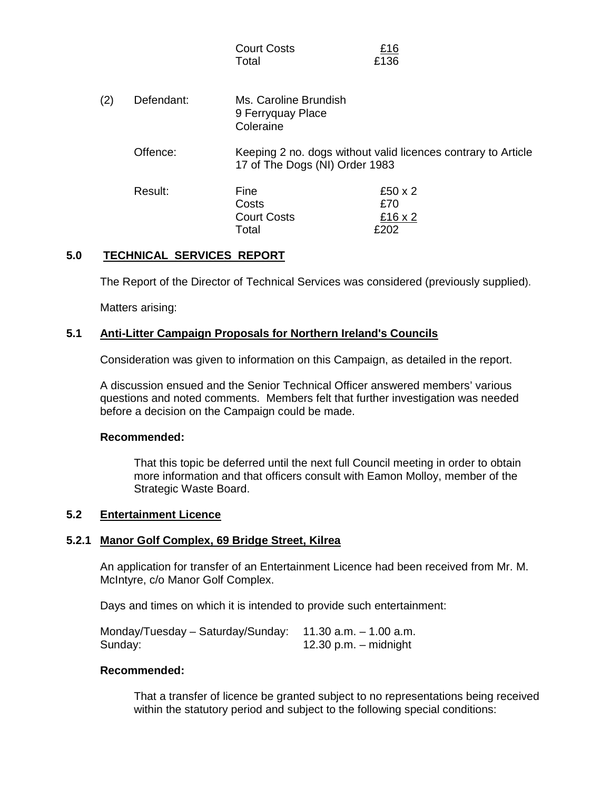|     |            | <b>Court Costs</b><br>Total                             | <u>£16</u><br>£136                                            |
|-----|------------|---------------------------------------------------------|---------------------------------------------------------------|
| (2) | Defendant: | Ms. Caroline Brundish<br>9 Ferryquay Place<br>Coleraine |                                                               |
|     | Offence:   | 17 of The Dogs (NI) Order 1983                          | Keeping 2 no. dogs without valid licences contrary to Article |
|     | Result:    | Fine<br>Costs<br><b>Court Costs</b><br>Total            | £50 $\times$ 2<br>£70<br>£16 x 2<br>£202                      |

#### **5.0 TECHNICAL SERVICES REPORT**

The Report of the Director of Technical Services was considered (previously supplied).

Matters arising:

#### **5.1 Anti-Litter Campaign Proposals for Northern Ireland's Councils**

Consideration was given to information on this Campaign, as detailed in the report.

A discussion ensued and the Senior Technical Officer answered members' various questions and noted comments. Members felt that further investigation was needed before a decision on the Campaign could be made.

#### **Recommended:**

That this topic be deferred until the next full Council meeting in order to obtain more information and that officers consult with Eamon Molloy, member of the Strategic Waste Board.

#### **5.2 Entertainment Licence**

#### **5.2.1 Manor Golf Complex, 69 Bridge Street, Kilrea**

An application for transfer of an Entertainment Licence had been received from Mr. M. McIntyre, c/o Manor Golf Complex.

Days and times on which it is intended to provide such entertainment:

| Monday/Tuesday $-$ Saturday/Sunday: 11.30 a.m. $-$ 1.00 a.m. |                         |
|--------------------------------------------------------------|-------------------------|
| Sunday:                                                      | 12.30 p.m. $-$ midnight |

#### **Recommended:**

 That a transfer of licence be granted subject to no representations being received within the statutory period and subject to the following special conditions: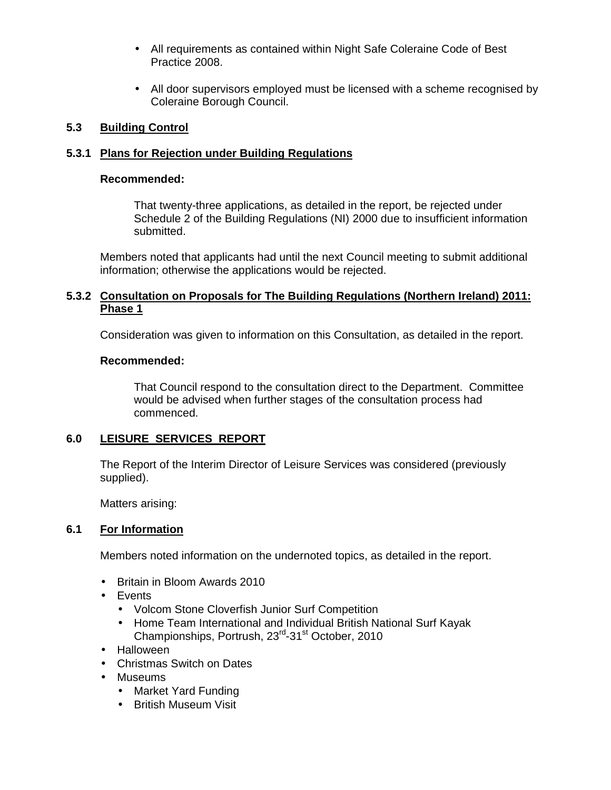- All requirements as contained within Night Safe Coleraine Code of Best Practice 2008.
- All door supervisors employed must be licensed with a scheme recognised by Coleraine Borough Council.

## **5.3 Building Control**

# **5.3.1 Plans for Rejection under Building Regulations**

#### **Recommended:**

 That twenty-three applications, as detailed in the report, be rejected under Schedule 2 of the Building Regulations (NI) 2000 due to insufficient information submitted.

 Members noted that applicants had until the next Council meeting to submit additional information; otherwise the applications would be rejected.

#### **5.3.2 Consultation on Proposals for The Building Regulations (Northern Ireland) 2011: Phase 1**

Consideration was given to information on this Consultation, as detailed in the report.

#### **Recommended:**

That Council respond to the consultation direct to the Department. Committee would be advised when further stages of the consultation process had commenced.

# **6.0 LEISURE SERVICES REPORT**

 The Report of the Interim Director of Leisure Services was considered (previously supplied).

Matters arising:

#### **6.1 For Information**

Members noted information on the undernoted topics, as detailed in the report.

- Britain in Bloom Awards 2010
- Events
	- Volcom Stone Cloverfish Junior Surf Competition
	- Home Team International and Individual British National Surf Kayak Championships, Portrush, 23<sup>rd</sup>-31<sup>st</sup> October, 2010
- Halloween
- Christmas Switch on Dates
- Museums
	- Market Yard Funding
	- British Museum Visit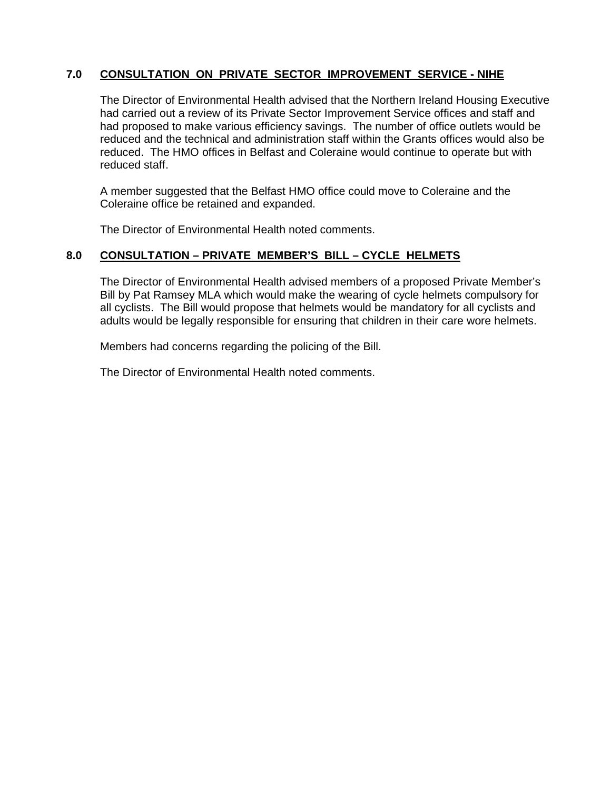# **7.0 CONSULTATION ON PRIVATE SECTOR IMPROVEMENT SERVICE - NIHE**

The Director of Environmental Health advised that the Northern Ireland Housing Executive had carried out a review of its Private Sector Improvement Service offices and staff and had proposed to make various efficiency savings. The number of office outlets would be reduced and the technical and administration staff within the Grants offices would also be reduced. The HMO offices in Belfast and Coleraine would continue to operate but with reduced staff.

A member suggested that the Belfast HMO office could move to Coleraine and the Coleraine office be retained and expanded.

The Director of Environmental Health noted comments.

#### **8.0 CONSULTATION – PRIVATE MEMBER'S BILL – CYCLE HELMETS**

The Director of Environmental Health advised members of a proposed Private Member's Bill by Pat Ramsey MLA which would make the wearing of cycle helmets compulsory for all cyclists. The Bill would propose that helmets would be mandatory for all cyclists and adults would be legally responsible for ensuring that children in their care wore helmets.

Members had concerns regarding the policing of the Bill.

The Director of Environmental Health noted comments.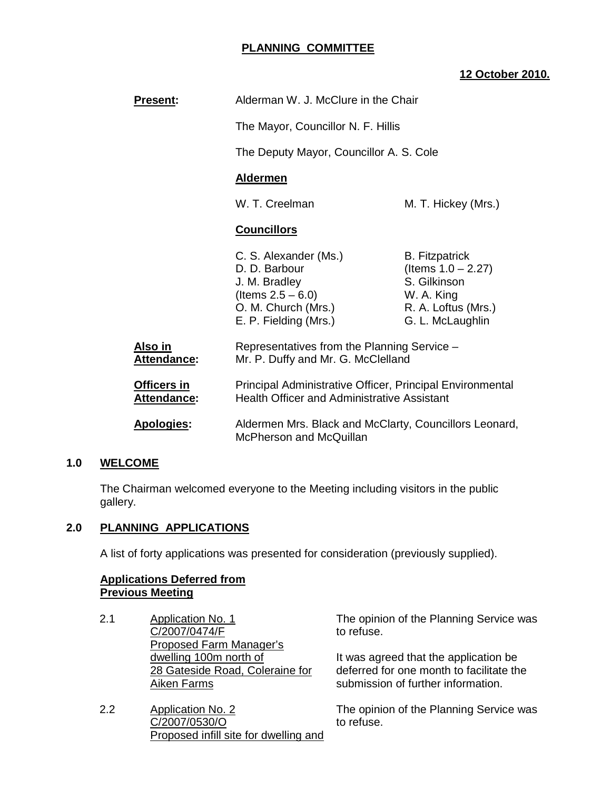# **PLANNING COMMITTEE**

# **12 October 2010.**

| <b>Present:</b>                      | Alderman W. J. McClure in the Chair                                                                                                                                                                  |                                                                                                                         |
|--------------------------------------|------------------------------------------------------------------------------------------------------------------------------------------------------------------------------------------------------|-------------------------------------------------------------------------------------------------------------------------|
|                                      | The Mayor, Councillor N. F. Hillis                                                                                                                                                                   |                                                                                                                         |
|                                      | The Deputy Mayor, Councillor A. S. Cole                                                                                                                                                              |                                                                                                                         |
|                                      | <b>Aldermen</b>                                                                                                                                                                                      |                                                                                                                         |
|                                      | W. T. Creelman<br>M. T. Hickey (Mrs.)                                                                                                                                                                |                                                                                                                         |
|                                      | <b>Councillors</b>                                                                                                                                                                                   |                                                                                                                         |
|                                      | C. S. Alexander (Ms.)<br>D. D. Barbour<br>J. M. Bradley<br>(Items $2.5 - 6.0$ )<br>O. M. Church (Mrs.)<br>E. P. Fielding (Mrs.)                                                                      | <b>B.</b> Fitzpatrick<br>(Items $1.0 - 2.27$ )<br>S. Gilkinson<br>W. A. King<br>R. A. Loftus (Mrs.)<br>G. L. McLaughlin |
| <u>Also in</u><br><b>Attendance:</b> | Representatives from the Planning Service -<br>Mr. P. Duffy and Mr. G. McClelland                                                                                                                    |                                                                                                                         |
| Officers in<br>Attendance:           | Principal Administrative Officer, Principal Environmental<br><b>Health Officer and Administrative Assistant</b><br>Aldermen Mrs. Black and McClarty, Councillors Leonard,<br>McPherson and McQuillan |                                                                                                                         |
| <b>Apologies:</b>                    |                                                                                                                                                                                                      |                                                                                                                         |

# **1.0 WELCOME**

 The Chairman welcomed everyone to the Meeting including visitors in the public gallery.

## **2.0 PLANNING APPLICATIONS**

A list of forty applications was presented for consideration (previously supplied).

#### **Applications Deferred from Previous Meeting**

- 2.1 Application No. 1 C/2007/0474/F Proposed Farm Manager's dwelling 100m north of 28 Gateside Road, Coleraine for Aiken Farms
- 2.2 Application No. 2 C/2007/0530/O Proposed infill site for dwelling and

The opinion of the Planning Service was to refuse.

It was agreed that the application be deferred for one month to facilitate the submission of further information.

The opinion of the Planning Service was to refuse.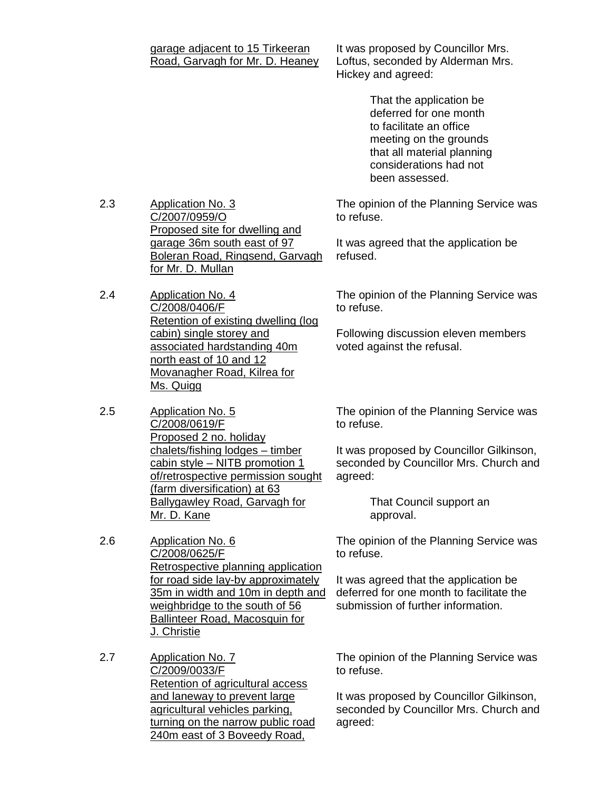| garage adjacent to 15 Tirkeeran<br>Road, Garvagh for Mr. D. Heaney | It was<br>Loftus<br><b>Hicke</b> |
|--------------------------------------------------------------------|----------------------------------|
|                                                                    |                                  |
|                                                                    |                                  |
|                                                                    |                                  |

- 2.3 Application No. 3 C/2007/0959/O Proposed site for dwelling and garage 36m south east of 97 Boleran Road, Ringsend, Garvagh for Mr. D. Mullan
- 2.4 Application No. 4 C/2008/0406/F Retention of existing dwelling (log cabin) single storey and associated hardstanding 40m north east of 10 and 12 Movanagher Road, Kilrea for Ms. Quigg
- 2.5 Application No. 5 C/2008/0619/F Proposed 2 no. holiday chalets/fishing lodges – timber cabin style – NITB promotion 1 of/retrospective permission sought (farm diversification) at 63 Ballygawley Road, Garvagh for Mr. D. Kane
- 2.6 Application No. 6 C/2008/0625/F Retrospective planning application for road side lay-by approximately 35m in width and 10m in depth and weighbridge to the south of 56 Ballinteer Road, Macosquin for J. Christie
- 2.7 Application No. 7 C/2009/0033/F Retention of agricultural access and laneway to prevent large agricultural vehicles parking, turning on the narrow public road 240m east of 3 Boveedy Road,

proposed by Councillor Mrs. s, seconded by Alderman Mrs. y and agreed:

> That the application be deferred for one month to facilitate an office meeting on the grounds that all material planning considerations had not been assessed.

The opinion of the Planning Service was to refuse.

It was agreed that the application be refused.

The opinion of the Planning Service was to refuse.

Following discussion eleven members voted against the refusal.

The opinion of the Planning Service was to refuse.

It was proposed by Councillor Gilkinson, seconded by Councillor Mrs. Church and agreed:

> That Council support an approval.

The opinion of the Planning Service was to refuse.

It was agreed that the application be deferred for one month to facilitate the submission of further information.

The opinion of the Planning Service was to refuse.

It was proposed by Councillor Gilkinson, seconded by Councillor Mrs. Church and agreed: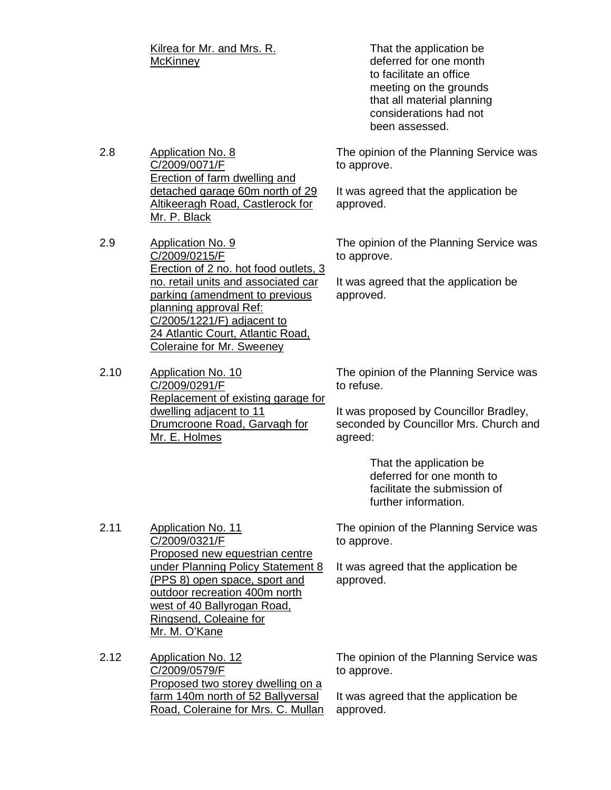Kilrea for Mr. and Mrs. R. **McKinney** 

 That the application be deferred for one month to facilitate an office meeting on the grounds that all material planning considerations had not been assessed.

2.8 Application No. 8 C/2009/0071/F Erection of farm dwelling and detached garage 60m north of 29 Altikeeragh Road, Castlerock for Mr. P. Black

2.9 Application No. 9 C/2009/0215/F Erection of 2 no. hot food outlets, 3 no. retail units and associated car parking (amendment to previous planning approval Ref: C/2005/1221/F) adjacent to 24 Atlantic Court, Atlantic Road, Coleraine for Mr. Sweeney

2.10 Application No. 10 C/2009/0291/F Replacement of existing garage for dwelling adjacent to 11 Drumcroone Road, Garvagh for Mr. E. Holmes

The opinion of the Planning Service was to approve.

It was agreed that the application be approved.

The opinion of the Planning Service was to approve.

It was agreed that the application be approved.

The opinion of the Planning Service was to refuse.

It was proposed by Councillor Bradley, seconded by Councillor Mrs. Church and agreed:

> That the application be deferred for one month to facilitate the submission of further information.

The opinion of the Planning Service was to approve.

It was agreed that the application be approved.

2.11 Application No. 11 C/2009/0321/F Proposed new equestrian centre under Planning Policy Statement 8 (PPS 8) open space, sport and outdoor recreation 400m north west of 40 Ballyrogan Road, Ringsend, Coleaine for Mr. M. O'Kane

2.12 Application No. 12 C/2009/0579/F Proposed two storey dwelling on a farm 140m north of 52 Ballyversal Road, Coleraine for Mrs. C. Mullan The opinion of the Planning Service was to approve.

It was agreed that the application be approved.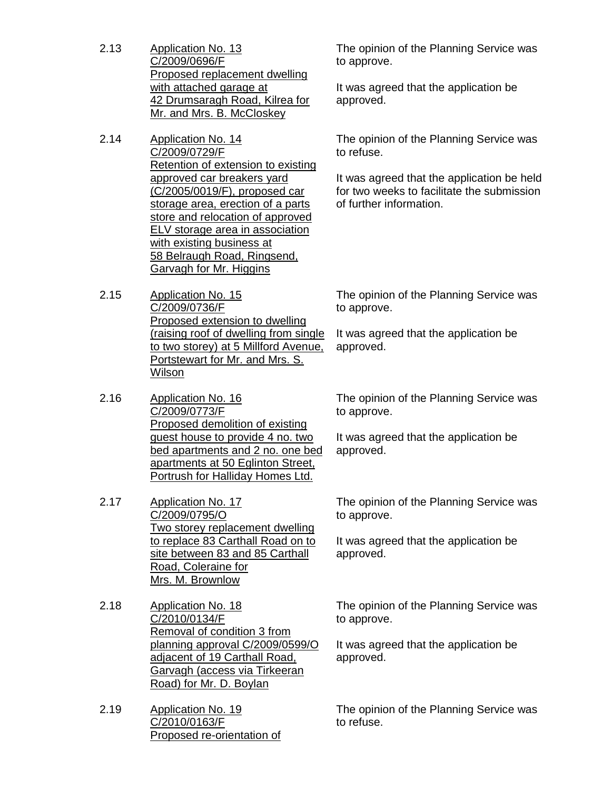- 2.13 Application No. 13 C/2009/0696/F Proposed replacement dwelling with attached garage at 42 Drumsaragh Road, Kilrea for Mr. and Mrs. B. McCloskey
- 2.14 Application No. 14 C/2009/0729/F Retention of extension to existing approved car breakers yard (C/2005/0019/F), proposed car storage area, erection of a parts store and relocation of approved ELV storage area in association with existing business at 58 Belraugh Road, Ringsend, Garvagh for Mr. Higgins
- 2.15 Application No. 15 C/2009/0736/F Proposed extension to dwelling (raising roof of dwelling from single to two storey) at 5 Millford Avenue, Portstewart for Mr. and Mrs. S. Wilson
- 2.16 Application No. 16 C/2009/0773/F Proposed demolition of existing guest house to provide 4 no. two bed apartments and 2 no. one bed apartments at 50 Eglinton Street, Portrush for Halliday Homes Ltd.
- 2.17 Application No. 17 C/2009/0795/O Two storey replacement dwelling to replace 83 Carthall Road on to site between 83 and 85 Carthall Road, Coleraine for Mrs. M. Brownlow
- 2.18 Application No. 18 C/2010/0134/F Removal of condition 3 from planning approval C/2009/0599/O adjacent of 19 Carthall Road, Garvagh (access via Tirkeeran Road) for Mr. D. Boylan
- 2.19 Application No. 19 C/2010/0163/F Proposed re-orientation of

The opinion of the Planning Service was to approve.

It was agreed that the application be approved.

The opinion of the Planning Service was to refuse.

It was agreed that the application be held for two weeks to facilitate the submission of further information.

The opinion of the Planning Service was to approve.

It was agreed that the application be approved.

The opinion of the Planning Service was to approve.

It was agreed that the application be approved.

The opinion of the Planning Service was to approve.

It was agreed that the application be approved.

The opinion of the Planning Service was to approve.

It was agreed that the application be approved.

The opinion of the Planning Service was to refuse.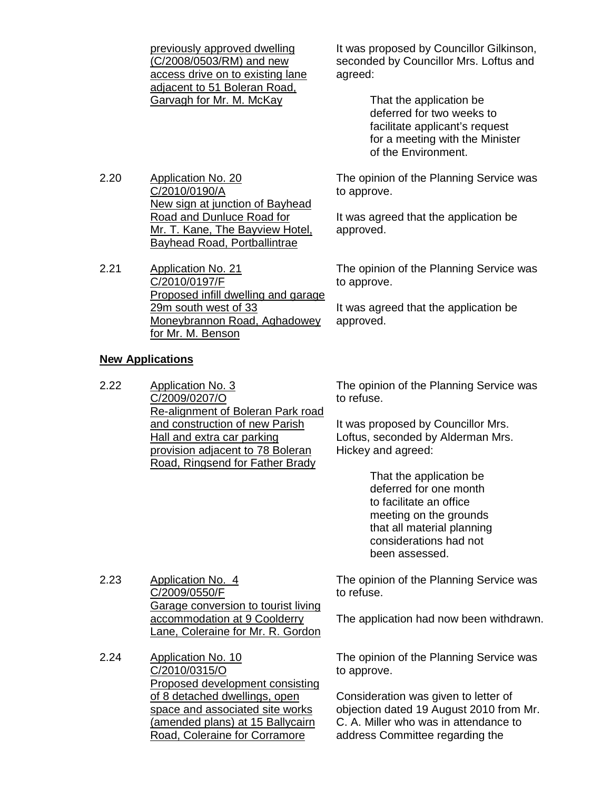previously approved dwelling (C/2008/0503/RM) and new access drive on to existing lane adjacent to 51 Boleran Road, Garvagh for Mr. M. McKay

2.20 Application No. 20 C/2010/0190/A New sign at junction of Bayhead Road and Dunluce Road for Mr. T. Kane, The Bayview Hotel, Bayhead Road, Portballintrae

2.21 Application No. 21 C/2010/0197/F Proposed infill dwelling and garage 29m south west of 33 Moneybrannon Road, Aghadowey for Mr. M. Benson

#### **New Applications**

2.23 Application No. 4

C/2009/0550/F

2.22 Application No. 3 C/2009/0207/O Re-alignment of Boleran Park road and construction of new Parish Hall and extra car parking provision adjacent to 78 Boleran Road, Ringsend for Father Brady

It was proposed by Councillor Gilkinson, seconded by Councillor Mrs. Loftus and agreed:

> That the application be deferred for two weeks to facilitate applicant's request for a meeting with the Minister of the Environment.

The opinion of the Planning Service was to approve.

It was agreed that the application be approved.

The opinion of the Planning Service was to approve.

It was agreed that the application be approved.

The opinion of the Planning Service was to refuse.

It was proposed by Councillor Mrs. Loftus, seconded by Alderman Mrs. Hickey and agreed:

> That the application be deferred for one month to facilitate an office meeting on the grounds that all material planning considerations had not been assessed.

Garage conversion to tourist living The opinion of the Planning Service was to refuse.

The application had now been withdrawn.

2.24 Application No. 10 C/2010/0315/O Proposed development consisting of 8 detached dwellings, open space and associated site works (amended plans) at 15 Ballycairn Road, Coleraine for Corramore

accommodation at 9 Coolderry Lane, Coleraine for Mr. R. Gordon

> The opinion of the Planning Service was to approve.

Consideration was given to letter of objection dated 19 August 2010 from Mr. C. A. Miller who was in attendance to address Committee regarding the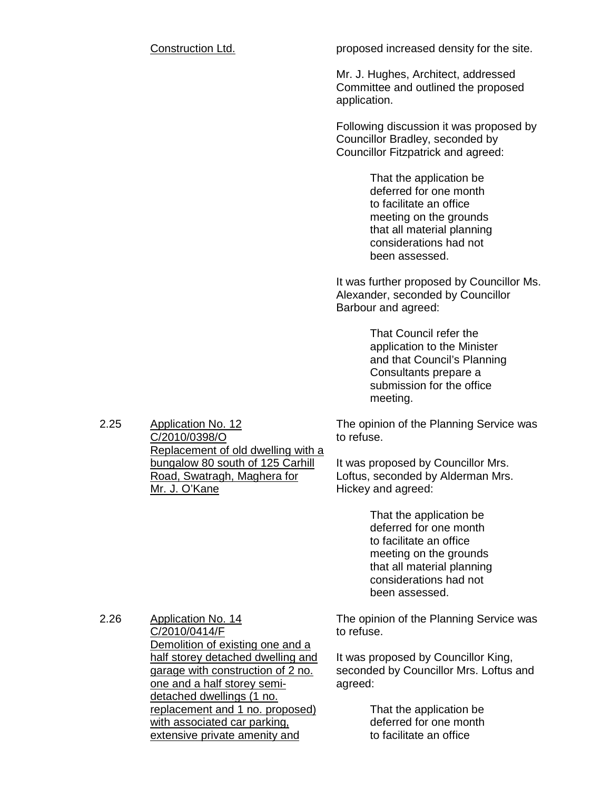Construction Ltd. example 20 proposed increased density for the site.

Mr. J. Hughes, Architect, addressed Committee and outlined the proposed application.

Following discussion it was proposed by Councillor Bradley, seconded by Councillor Fitzpatrick and agreed:

> That the application be deferred for one month to facilitate an office meeting on the grounds that all material planning considerations had not been assessed.

It was further proposed by Councillor Ms. Alexander, seconded by Councillor Barbour and agreed:

> That Council refer the application to the Minister and that Council's Planning Consultants prepare a submission for the office meeting.

The opinion of the Planning Service was to refuse.

It was proposed by Councillor Mrs. Loftus, seconded by Alderman Mrs. Hickey and agreed:

> That the application be deferred for one month to facilitate an office meeting on the grounds that all material planning considerations had not been assessed.

2.26 Application No. 14 C/2010/0414/F Demolition of existing one and a half storey detached dwelling and garage with construction of 2 no. one and a half storey semidetached dwellings (1 no. replacement and 1 no. proposed) with associated car parking, extensive private amenity and

Application No. 12 C/2010/0398/O

Mr. J. O'Kane

Replacement of old dwelling with a bungalow 80 south of 125 Carhill Road, Swatragh, Maghera for

2.25

The opinion of the Planning Service was to refuse.

It was proposed by Councillor King, seconded by Councillor Mrs. Loftus and agreed:

> That the application be deferred for one month to facilitate an office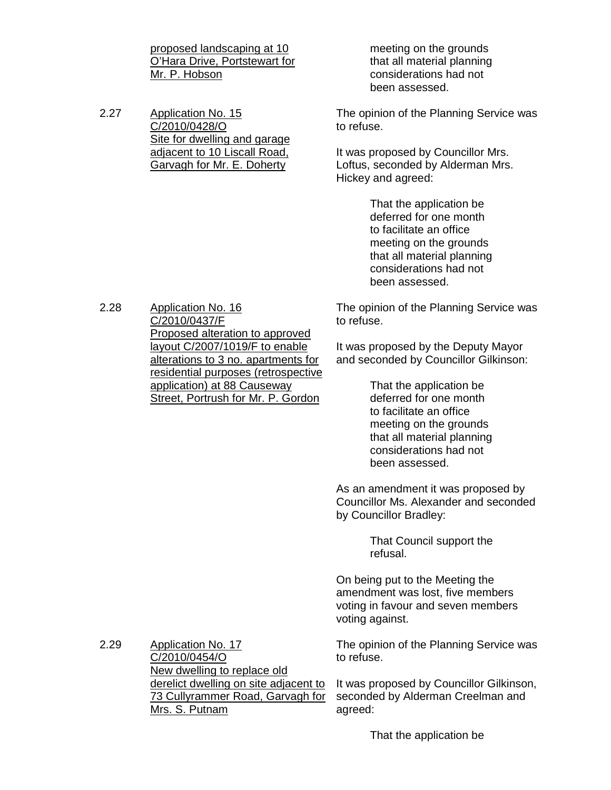proposed landscaping at 10 O'Hara Drive, Portstewart for Mr. P. Hobson

2.27 Application No. 15 C/2010/0428/O Site for dwelling and garage adjacent to 10 Liscall Road, Garvagh for Mr. E. Doherty

 meeting on the grounds that all material planning considerations had not been assessed.

The opinion of the Planning Service was to refuse.

It was proposed by Councillor Mrs. Loftus, seconded by Alderman Mrs. Hickey and agreed:

> That the application be deferred for one month to facilitate an office meeting on the grounds that all material planning considerations had not been assessed.

The opinion of the Planning Service was to refuse.

It was proposed by the Deputy Mayor and seconded by Councillor Gilkinson:

> That the application be deferred for one month to facilitate an office meeting on the grounds that all material planning considerations had not been assessed.

As an amendment it was proposed by Councillor Ms. Alexander and seconded by Councillor Bradley:

> That Council support the refusal.

On being put to the Meeting the amendment was lost, five members voting in favour and seven members voting against.

The opinion of the Planning Service was to refuse.

It was proposed by Councillor Gilkinson, seconded by Alderman Creelman and agreed:

2.28 Application No. 16 C/2010/0437/F Proposed alteration to approved layout C/2007/1019/F to enable alterations to 3 no. apartments for residential purposes (retrospective application) at 88 Causeway Street, Portrush for Mr. P. Gordon

2.29 Application No. 17 C/2010/0454/O New dwelling to replace old derelict dwelling on site adjacent to 73 Cullyrammer Road, Garvagh for Mrs. S. Putnam

That the application be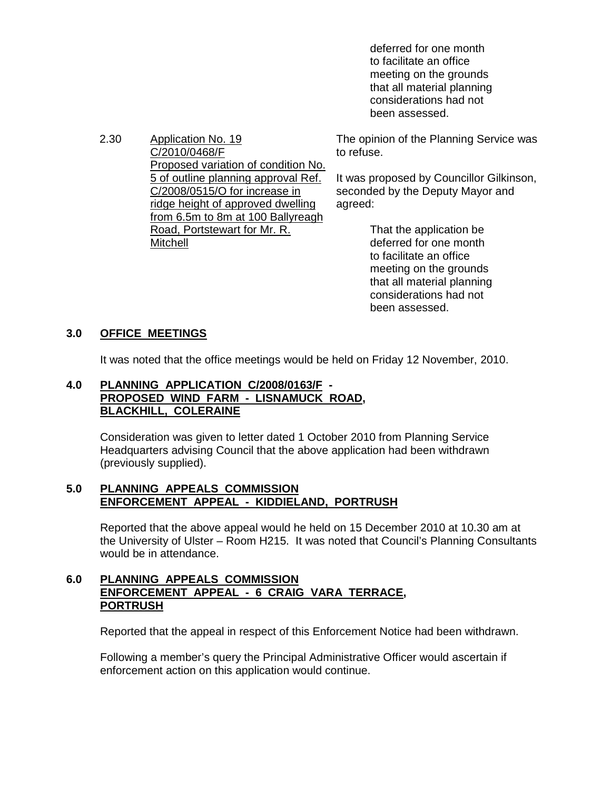deferred for one month to facilitate an office meeting on the grounds that all material planning considerations had not been assessed.

2.30 Application No. 19 C/2010/0468/F Proposed variation of condition No. 5 of outline planning approval Ref. C/2008/0515/O for increase in ridge height of approved dwelling from 6.5m to 8m at 100 Ballyreagh Road, Portstewart for Mr. R. **Mitchell** 

The opinion of the Planning Service was to refuse.

It was proposed by Councillor Gilkinson, seconded by the Deputy Mayor and agreed:

> That the application be deferred for one month to facilitate an office meeting on the grounds that all material planning considerations had not been assessed.

# **3.0 OFFICE MEETINGS**

It was noted that the office meetings would be held on Friday 12 November, 2010.

## **4.0 PLANNING APPLICATION C/2008/0163/F - PROPOSED WIND FARM - LISNAMUCK ROAD, BLACKHILL, COLERAINE**

 Consideration was given to letter dated 1 October 2010 from Planning Service Headquarters advising Council that the above application had been withdrawn (previously supplied).

#### **5.0 PLANNING APPEALS COMMISSION ENFORCEMENT APPEAL - KIDDIELAND, PORTRUSH**

 Reported that the above appeal would he held on 15 December 2010 at 10.30 am at the University of Ulster – Room H215. It was noted that Council's Planning Consultants would be in attendance.

#### **6.0 PLANNING APPEALS COMMISSION ENFORCEMENT APPEAL - 6 CRAIG VARA TERRACE, PORTRUSH**

Reported that the appeal in respect of this Enforcement Notice had been withdrawn.

 Following a member's query the Principal Administrative Officer would ascertain if enforcement action on this application would continue.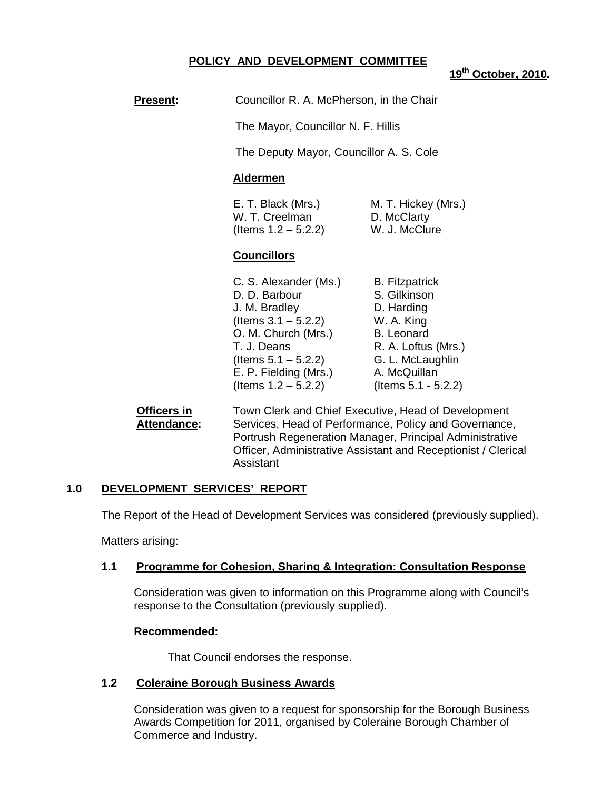# **POLICY AND DEVELOPMENT COMMITTEE**

**19th October, 2010.** 

| <b>Present:</b>                   | Councillor R. A. McPherson, in the Chair<br>The Mayor, Councillor N. F. Hillis<br>The Deputy Mayor, Councillor A. S. Cole<br><b>Aldermen</b>                                                                                             |                                                                                                                                                                          |
|-----------------------------------|------------------------------------------------------------------------------------------------------------------------------------------------------------------------------------------------------------------------------------------|--------------------------------------------------------------------------------------------------------------------------------------------------------------------------|
|                                   |                                                                                                                                                                                                                                          |                                                                                                                                                                          |
|                                   |                                                                                                                                                                                                                                          |                                                                                                                                                                          |
|                                   |                                                                                                                                                                                                                                          |                                                                                                                                                                          |
|                                   | E. T. Black (Mrs.)<br>W. T. Creelman<br>(Items $1.2 - 5.2.2$ )                                                                                                                                                                           | M. T. Hickey (Mrs.)<br>D. McClarty<br>W. J. McClure                                                                                                                      |
|                                   | <b>Councillors</b>                                                                                                                                                                                                                       |                                                                                                                                                                          |
|                                   | C. S. Alexander (Ms.)<br>D. D. Barbour<br>J. M. Bradley<br>(Items $3.1 - 5.2.2$ )<br>O. M. Church (Mrs.)<br>T. J. Deans<br>(Items $5.1 - 5.2.2$ )<br>E. P. Fielding (Mrs.)<br>(Items $1.2 - 5.2.2$ )                                     | <b>B.</b> Fitzpatrick<br>S. Gilkinson<br>D. Harding<br>W. A. King<br><b>B.</b> Leonard<br>R. A. Loftus (Mrs.)<br>G. L. McLaughlin<br>A. McQuillan<br>(Items 5.1 - 5.2.2) |
| Officers in<br><b>Attendance:</b> | Town Clerk and Chief Executive, Head of Development<br>Services, Head of Performance, Policy and Governance,<br>Portrush Regeneration Manager, Principal Administrative<br>Officer, Administrative Assistant and Receptionist / Clerical |                                                                                                                                                                          |

#### **1.0 DEVELOPMENT SERVICES' REPORT**

The Report of the Head of Development Services was considered (previously supplied).

Matters arising:

#### **1.1 Programme for Cohesion, Sharing & Integration: Consultation Response**

Consideration was given to information on this Programme along with Council's response to the Consultation (previously supplied).

#### **Recommended:**

That Council endorses the response.

Assistant

#### **1.2 Coleraine Borough Business Awards**

Consideration was given to a request for sponsorship for the Borough Business Awards Competition for 2011, organised by Coleraine Borough Chamber of Commerce and Industry.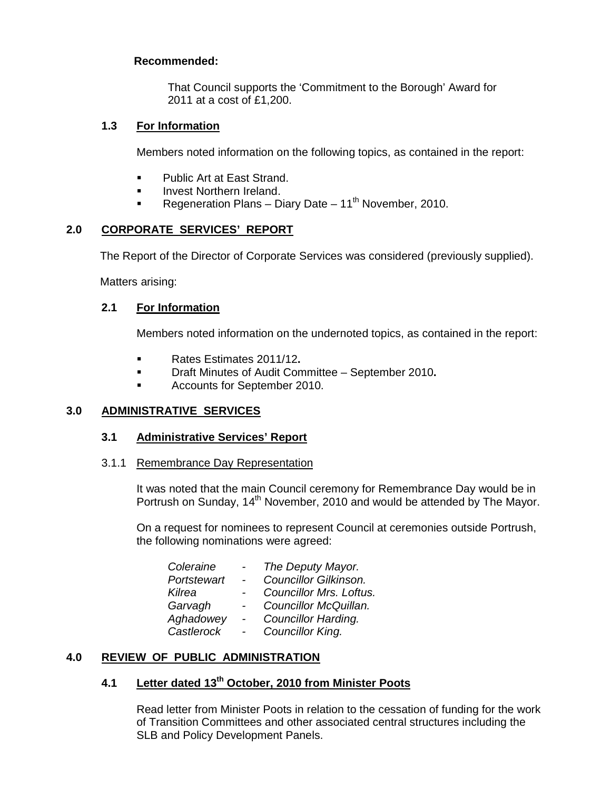# **Recommended:**

That Council supports the 'Commitment to the Borough' Award for 2011 at a cost of £1,200.

## **1.3 For Information**

Members noted information on the following topics, as contained in the report:

- **Public Art at East Strand.**
- **Invest Northern Ireland.**
- Regeneration Plans Diary Date 11<sup>th</sup> November, 2010.

# **2.0 CORPORATE SERVICES' REPORT**

The Report of the Director of Corporate Services was considered (previously supplied).

Matters arising:

## **2.1 For Information**

Members noted information on the undernoted topics, as contained in the report:

- Rates Estimates 2011/12**.**
- Draft Minutes of Audit Committee September 2010**.**
- **Accounts for September 2010.**

#### **3.0 ADMINISTRATIVE SERVICES**

#### **3.1 Administrative Services' Report**

3.1.1 Remembrance Day Representation

It was noted that the main Council ceremony for Remembrance Day would be in Portrush on Sunday, 14<sup>th</sup> November, 2010 and would be attended by The Mayor.

 On a request for nominees to represent Council at ceremonies outside Portrush, the following nominations were agreed:

| $\overline{\phantom{a}}$ | The Deputy Mayor.       |
|--------------------------|-------------------------|
| $\sim$                   | Councillor Gilkinson.   |
|                          | Councillor Mrs. Loftus. |
|                          | Councillor McQuillan.   |
| $\sim$                   | Councillor Harding.     |
|                          | Councillor King.        |
|                          |                         |

# **4.0 REVIEW OF PUBLIC ADMINISTRATION**

# **4.1 Letter dated 13th October, 2010 from Minister Poots**

 Read letter from Minister Poots in relation to the cessation of funding for the work of Transition Committees and other associated central structures including the SLB and Policy Development Panels.